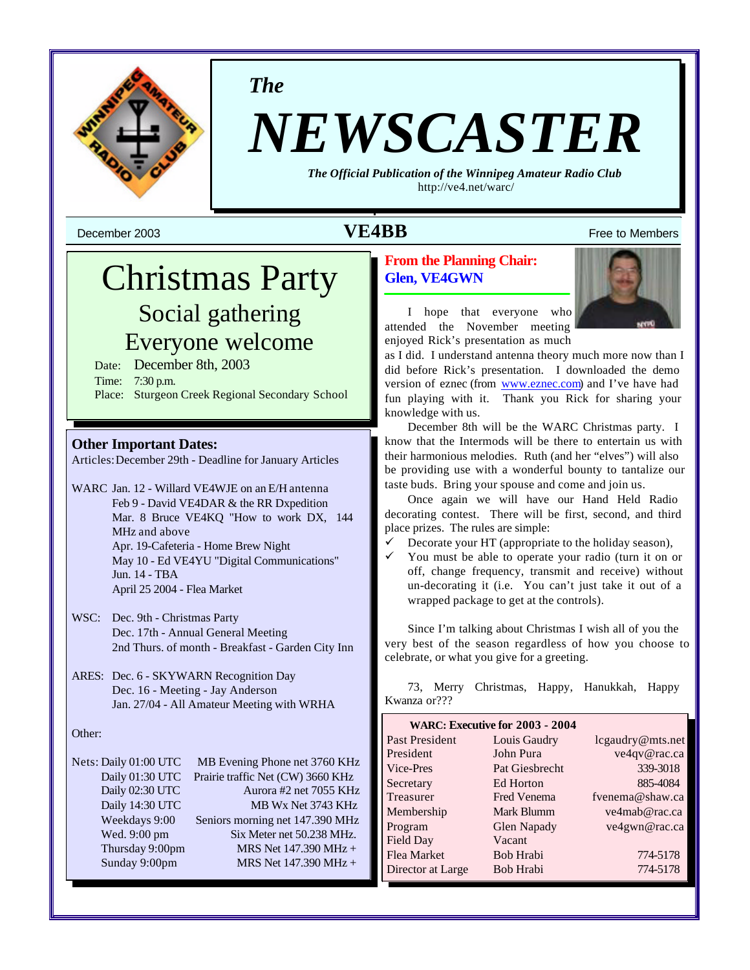

*The*

# *NEWSCASTER*

*The Official Publication of the Winnipeg Amateur Radio Club* <http://ve4.net/warc/>

**December 2003 VE4BB** Free to Members

# Christmas Party Social gathering Everyone welcome

Date: December 8th, 2003 Time: 7:30 p.m. Place: Sturgeon Creek Regional Secondary School

# **Other Important Dates:**

Articles:December 29th - Deadline for January Articles

- WARC Jan. 12 Willard VE4WJE on an E/H antenna Feb 9 - David VE4DAR & the RR Dxpedition Mar. 8 Bruce VE4KQ "How to work DX, 144 MHz and above Apr. 19-Cafeteria - Home Brew Night May 10 - Ed VE4YU "Digital Communications" Jun. 14 - TBA April 25 2004 - Flea Market
- WSC: Dec. 9th Christmas Party Dec. 17th - Annual General Meeting 2nd Thurs. of month - Breakfast - Garden City Inn
- ARES: Dec. 6 SKYWARN Recognition Day Dec. 16 - Meeting - Jay Anderson Jan. 27/04 - All Amateur Meeting with WRHA

#### Other:

| Nets: Daily 01:00 UTC | MB Evening Phone net 3760 KHz     |
|-----------------------|-----------------------------------|
| Daily 01:30 UTC       | Prairie traffic Net (CW) 3660 KHz |
| Daily 02:30 UTC       | Aurora #2 net 7055 KHz            |
| Daily 14:30 UTC       | MB Wx Net 3743 KHz                |
| Weekdays 9:00         | Seniors morning net 147.390 MHz   |
| Wed. 9:00 pm          | Six Meter net 50.238 MHz.         |
| Thursday 9:00pm       | MRS Net 147.390 MHz +             |
| Sunday 9:00pm         | MRS Net 147.390 MHz +             |
|                       |                                   |

# **From the Planning Chair: Glen, VE4GWN**



I hope that everyone who attended the November meeting enjoyed Rick's presentation as much

as I did. I understand antenna theory much more now than I did before Rick's presentation. I downloaded the demo version of eznec (from www.eznec.com) and I've have had fun playing with it. Thank you Rick for sharing your knowledge with us.

December 8th will be the WARC Christmas party. I know that the Intermods will be there to entertain us with their harmonious melodies. Ruth (and her "elves") will also be providing use with a wonderful bounty to tantalize our taste buds. Bring your spouse and come and join us.

Once again we will have our Hand Held Radio decorating contest. There will be first, second, and third place prizes. The rules are simple:

Decorate your HT (appropriate to the holiday season),

You must be able to operate your radio (turn it on or off, change frequency, transmit and receive) without un-decorating it (i.e. You can't just take it out of a wrapped package to get at the controls).

Since I'm talking about Christmas I wish all of you the very best of the season regardless of how you choose to celebrate, or what you give for a greeting.

73, Merry Christmas, Happy, Hanukkah, Happy Kwanza or???

| WARC: Executive for 2003 - 2004 |                    |                  |
|---------------------------------|--------------------|------------------|
| Past President                  | Louis Gaudry       | lcgaudry@mts.net |
| President                       | John Pura          | ve4qv@rac.ca     |
| Vice-Pres                       | Pat Giesbrecht     | 339-3018         |
| Secretary                       | Ed Horton          | 885-4084         |
| Treasurer                       | <b>Fred Venema</b> | fvenema@shaw.ca  |
| Membership                      | Mark Blumm         | ve4mab@rac.ca    |
| Program                         | Glen Napady        | ve4gwn@rac.ca    |
| Field Day                       | Vacant             |                  |
| Flea Market                     | Bob Hrabi          | 774-5178         |
| Director at Large               | Bob Hrabi          | 774-5178         |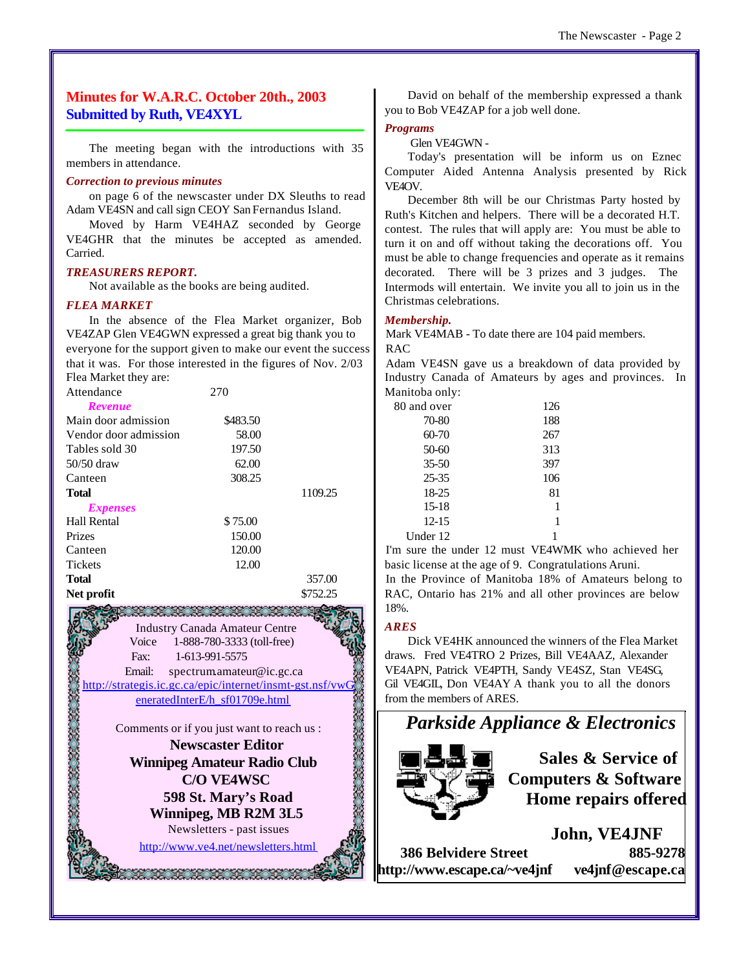# **Minutes for W.A.R.C. October 20th., 2003 Submitted by Ruth, VE4XYL**

The meeting began with the introductions with 35 members in attendance.

#### *Correction to previous minutes*

on page 6 of the newscaster under DX Sleuths to read Adam VE4SN and call sign CEOY San Fernandus Island.

Moved by Harm VE4HAZ seconded by George VE4GHR that the minutes be accepted as amended. Carried.

#### *TREASURERS REPORT.*

Not available as the books are being audited.

#### *FLEA MARKET*

In the absence of the Flea Market organizer, Bob VE4ZAP Glen VE4GWN expressed a great big thank you to everyone for the support given to make our event the success that it was. For those interested in the figures of Nov. 2/03 Flea Market they are:

| Attendance            | 270      |          |
|-----------------------|----------|----------|
| <b>Revenue</b>        |          |          |
| Main door admission   | \$483.50 |          |
| Vendor door admission | 58.00    |          |
| Tables sold 30        | 197.50   |          |
| $50/50$ draw          | 62.00    |          |
| Canteen               | 308.25   |          |
| <b>Total</b>          |          | 1109.25  |
| <i>Expenses</i>       |          |          |
| Hall Rental           | \$75.00  |          |
| Prizes                | 150.00   |          |
| Canteen               | 120.00   |          |
| <b>Tickets</b>        | 12.00    |          |
| <b>Total</b>          |          | 357.00   |
| Net profit            |          | \$752.25 |

Industry Canada Amateur Centre Voice 1-888-780-3333 (toll-free) Fax: 1-613-991-5575 Email: spectrum.amateur@ic.gc.ca eneratedInterE/h\_sf01709e.html

<http://strategis.ic.gc.ca/epic/internet/insmt-gst.nsf/vwG><br>
eneratedInterE/h\_sf01709e.html<br>
Comments or if you just want to reach us :<br>
Newscaster Editor<br>
Winnipeg Amateur Radio Club<br>
C/O VE4WSC<br>
598 St. Marv's Road Comments or if you just want to reach us : **Newscaster Editor Winnipeg Amateur Radio Club**

**C/O VE4WSC 598 St. Mary's Road Winnipeg, MB R2M 3L5**

Newsletters - past issues <http://www.ve4.net/newsletters.html>

David on behalf of the membership expressed a thank you to Bob VE4ZAP for a job well done.

#### *Programs*

Glen VE4GWN -

Today's presentation will be inform us on Eznec Computer Aided Antenna Analysis presented by Rick VE4OV.

December 8th will be our Christmas Party hosted by Ruth's Kitchen and helpers. There will be a decorated H.T. contest. The rules that will apply are: You must be able to turn it on and off without taking the decorations off. You must be able to change frequencies and operate as it remains decorated. There will be 3 prizes and 3 judges. The Intermods will entertain. We invite you all to join us in the Christmas celebrations.

#### *Membership.*

Mark VE4MAB - To date there are 104 paid members. RAC

Adam VE4SN gave us a breakdown of data provided by Industry Canada of Amateurs by ages and provinces. In Manitoba only:

| 80 and over | 126 |
|-------------|-----|
| 70-80       | 188 |
| 60-70       | 267 |
| $50-60$     | 313 |
| $35 - 50$   | 397 |
| $25 - 35$   | 106 |
| 18-25       | 81  |
| 15-18       | 1   |
| $12 - 15$   | 1   |
| Under 12    |     |

I'm sure the under 12 must VE4WMK who achieved her basic license at the age of 9. Congratulations Aruni.

In the Province of Manitoba 18% of Amateurs belong to RAC, Ontario has 21% and all other provinces are below 18%.

#### *ARES*

Dick VE4HK announced the winners of the Flea Market draws. Fred VE4TRO 2 Prizes, Bill VE4AAZ, Alexander VE4APN, Patrick VE4PTH, Sandy VE4SZ, Stan VE4SG, Gil VE4GIL, Don VE4AY A thank you to all the donors from the members of ARES.



**386 Belvidere Street 885-9278 <http://www.escape.ca/~ve4jnf> ve4jnf@escape.ca**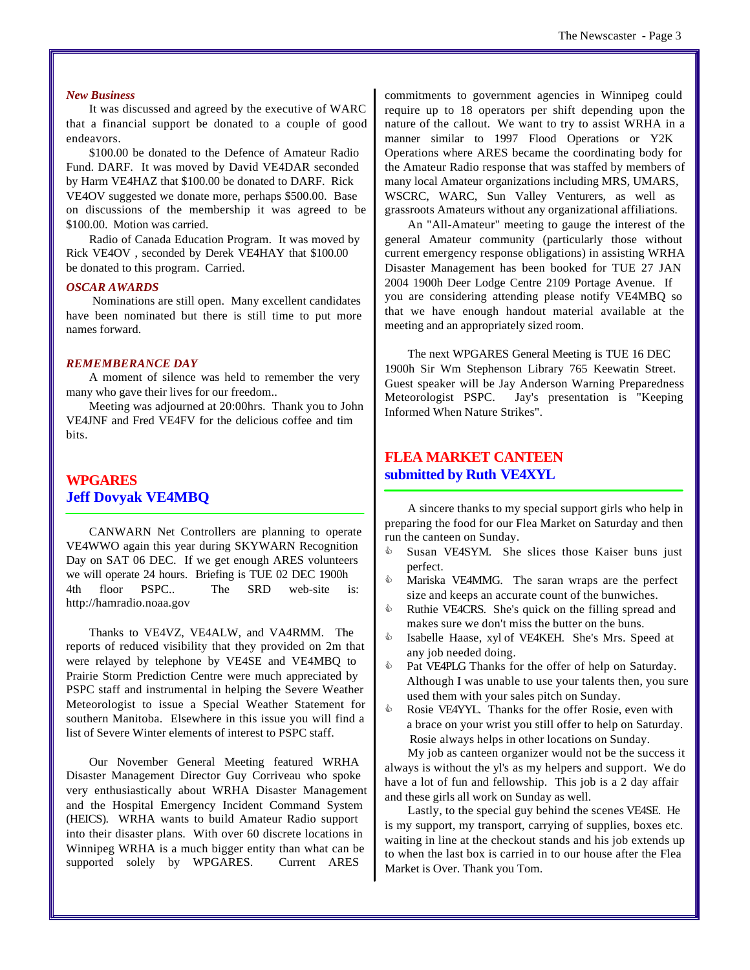#### *New Business*

It was discussed and agreed by the executive of WARC that a financial support be donated to a couple of good endeavors.

\$100.00 be donated to the Defence of Amateur Radio Fund. DARF. It was moved by David VE4DAR seconded by Harm VE4HAZ that \$100.00 be donated to DARF. Rick VE4OV suggested we donate more, perhaps \$500.00. Base on discussions of the membership it was agreed to be \$100.00. Motion was carried.

Radio of Canada Education Program. It was moved by Rick VE4OV , seconded by Derek VE4HAY that \$100.00 be donated to this program. Carried.

#### *OSCAR AWARDS*

 Nominations are still open. Many excellent candidates have been nominated but there is still time to put more names forward.

#### *REMEMBERANCE DAY*

A moment of silence was held to remember the very many who gave their lives for our freedom..

Meeting was adjourned at 20:00hrs. Thank you to John VE4JNF and Fred VE4FV for the delicious coffee and tim bits.

# **WPGARES Jeff Dovyak VE4MBQ**

CANWARN Net Controllers are planning to operate VE4WWO again this year during SKYWARN Recognition Day on SAT 06 DEC. If we get enough ARES volunteers we will operate 24 hours. Briefing is TUE 02 DEC 1900h 4th floor PSPC.. The SRD web-site is: <http://hamradio.noaa.gov>

Thanks to VE4VZ, VE4ALW, and VA4RMM. The reports of reduced visibility that they provided on 2m that were relayed by telephone by VE4SE and VE4MBQ to Prairie Storm Prediction Centre were much appreciated by PSPC staff and instrumental in helping the Severe Weather Meteorologist to issue a Special Weather Statement for southern Manitoba. Elsewhere in this issue you will find a list of Severe Winter elements of interest to PSPC staff.

Our November General Meeting featured WRHA Disaster Management Director Guy Corriveau who spoke very enthusiastically about WRHA Disaster Management and the Hospital Emergency Incident Command System (HEICS). WRHA wants to build Amateur Radio support into their disaster plans. With over 60 discrete locations in Winnipeg WRHA is a much bigger entity than what can be supported solely by WPGARES. Current ARES

commitments to government agencies in Winnipeg could require up to 18 operators per shift depending upon the nature of the callout. We want to try to assist WRHA in a manner similar to 1997 Flood Operations or Y2K Operations where ARES became the coordinating body for the Amateur Radio response that was staffed by members of many local Amateur organizations including MRS, UMARS, WSCRC, WARC, Sun Valley Venturers, as well as grassroots Amateurs without any organizational affiliations.

An "All-Amateur" meeting to gauge the interest of the general Amateur community (particularly those without current emergency response obligations) in assisting WRHA Disaster Management has been booked for TUE 27 JAN 2004 1900h Deer Lodge Centre 2109 Portage Avenue. If you are considering attending please notify VE4MBQ so that we have enough handout material available at the meeting and an appropriately sized room.

The next WPGARES General Meeting is TUE 16 DEC 1900h Sir Wm Stephenson Library 765 Keewatin Street. Guest speaker will be Jay Anderson Warning Preparedness Meteorologist PSPC. Jay's presentation is "Keeping Informed When Nature Strikes".

# **FLEA MARKET CANTEEN submitted by Ruth VE4XYL**

A sincere thanks to my special support girls who help in preparing the food for our Flea Market on Saturday and then run the canteen on Sunday.

- $\bullet$  Susan VE4SYM. She slices those Kaiser buns just perfect.
- **Mariska VE4MMG.** The saran wraps are the perfect size and keeps an accurate count of the bunwiches.
- $\bullet$  Ruthie VE4CRS. She's quick on the filling spread and makes sure we don't miss the butter on the buns.
- Isabelle Haase, xyl of VE4KEH. She's Mrs. Speed at any job needed doing.
- Pat VE4PLG Thanks for the offer of help on Saturday. Although I was unable to use your talents then, you sure used them with your sales pitch on Sunday.
- $\Diamond$  Rosie VE4YYL. Thanks for the offer Rosie, even with a brace on your wrist you still offer to help on Saturday. Rosie always helps in other locations on Sunday.

My job as canteen organizer would not be the success it always is without the yl's as my helpers and support. We do have a lot of fun and fellowship. This job is a 2 day affair and these girls all work on Sunday as well.

Lastly, to the special guy behind the scenes VE4SE. He is my support, my transport, carrying of supplies, boxes etc. waiting in line at the checkout stands and his job extends up to when the last box is carried in to our house after the Flea Market is Over. Thank you Tom.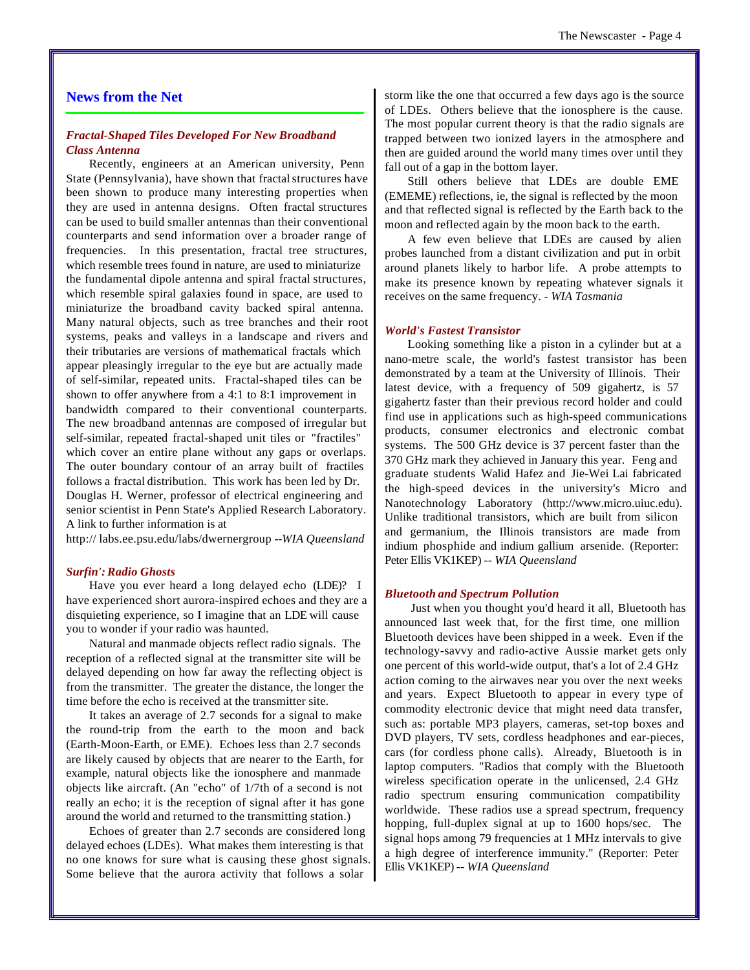# **News from the Net**

#### *Fractal-Shaped Tiles Developed For New Broadband Class Antenna*

Recently, engineers at an American university, Penn State (Pennsylvania), have shown that fractal structures have been shown to produce many interesting properties when they are used in antenna designs. Often fractal structures can be used to build smaller antennas than their conventional counterparts and send information over a broader range of frequencies. In this presentation, fractal tree structures, which resemble trees found in nature, are used to miniaturize the fundamental dipole antenna and spiral fractal structures, which resemble spiral galaxies found in space, are used to miniaturize the broadband cavity backed spiral antenna. Many natural objects, such as tree branches and their root systems, peaks and valleys in a landscape and rivers and their tributaries are versions of mathematical fractals which appear pleasingly irregular to the eye but are actually made of self-similar, repeated units. Fractal-shaped tiles can be shown to offer anywhere from a 4:1 to 8:1 improvement in bandwidth compared to their conventional counterparts. The new broadband antennas are composed of irregular but self-similar, repeated fractal-shaped unit tiles or "fractiles" which cover an entire plane without any gaps or overlaps. The outer boundary contour of an array built of fractiles follows a fractal distribution. This work has been led by Dr. Douglas H. Werner, professor of electrical engineering and senior scientist in Penn State's Applied Research Laboratory. A link to further information is at

http:// [labs.ee.psu.edu/labs/dwernergroup](http://labs.ee.psu.edu/labs/dwernergroup) --*WIA Queensland*

#### *Surfin': Radio Ghosts*

Have you ever heard a long delayed echo (LDE)? I have experienced short aurora-inspired echoes and they are a disquieting experience, so I imagine that an LDE will cause you to wonder if your radio was haunted.

Natural and manmade objects reflect radio signals. The reception of a reflected signal at the transmitter site will be delayed depending on how far away the reflecting object is from the transmitter. The greater the distance, the longer the time before the echo is received at the transmitter site.

It takes an average of 2.7 seconds for a signal to make the round-trip from the earth to the moon and back (Earth-Moon-Earth, or EME). Echoes less than 2.7 seconds are likely caused by objects that are nearer to the Earth, for example, natural objects like the ionosphere and manmade objects like aircraft. (An "echo" of 1/7th of a second is not really an echo; it is the reception of signal after it has gone around the world and returned to the transmitting station.)

Echoes of greater than 2.7 seconds are considered long delayed echoes (LDEs). What makes them interesting is that no one knows for sure what is causing these ghost signals. Some believe that the aurora activity that follows a solar

storm like the one that occurred a few days ago is the source of LDEs. Others believe that the ionosphere is the cause. The most popular current theory is that the radio signals are trapped between two ionized layers in the atmosphere and then are guided around the world many times over until they fall out of a gap in the bottom layer.

Still others believe that LDEs are double EME (EMEME) reflections, ie, the signal is reflected by the moon and that reflected signal is reflected by the Earth back to the moon and reflected again by the moon back to the earth.

A few even believe that LDEs are caused by alien probes launched from a distant civilization and put in orbit around planets likely to harbor life. A probe attempts to make its presence known by repeating whatever signals it receives on the same frequency. - *WIA Tasmania*

#### *World's Fastest Transistor*

Looking something like a piston in a cylinder but at a nano-metre scale, the world's fastest transistor has been demonstrated by a team at the University of Illinois. Their latest device, with a frequency of 509 gigahertz, is 57 gigahertz faster than their previous record holder and could find use in applications such as high-speed communications products, consumer electronics and electronic combat systems. The 500 GHz device is 37 percent faster than the 370 GHz mark they achieved in January this year. Feng and graduate students Walid Hafez and Jie-Wei Lai fabricated the high-speed devices in the university's Micro and Nanotechnology Laboratory [\(http://www.micro.uiuc.edu\).](http://www.micro.uiuc.edu) Unlike traditional transistors, which are built from silicon and germanium, the Illinois transistors are made from indium phosphide and indium gallium arsenide. (Reporter: Peter Ellis VK1KEP) *-- WIA Queensland*

#### *Bluetooth and Spectrum Pollution*

 Just when you thought you'd heard it all, Bluetooth has announced last week that, for the first time, one million Bluetooth devices have been shipped in a week. Even if the technology-savvy and radio-active Aussie market gets only one percent of this world-wide output, that's a lot of 2.4 GHz action coming to the airwaves near you over the next weeks and years. Expect Bluetooth to appear in every type of commodity electronic device that might need data transfer, such as: portable MP3 players, cameras, set-top boxes and DVD players, TV sets, cordless headphones and ear-pieces, cars (for cordless phone calls). Already, Bluetooth is in laptop computers. "Radios that comply with the Bluetooth wireless specification operate in the unlicensed, 2.4 GHz radio spectrum ensuring communication compatibility worldwide. These radios use a spread spectrum, frequency hopping, full-duplex signal at up to 1600 hops/sec. The signal hops among 79 frequencies at 1 MHz intervals to give a high degree of interference immunity." (Reporter: Peter Ellis VK1KEP) *-- WIA Queensland*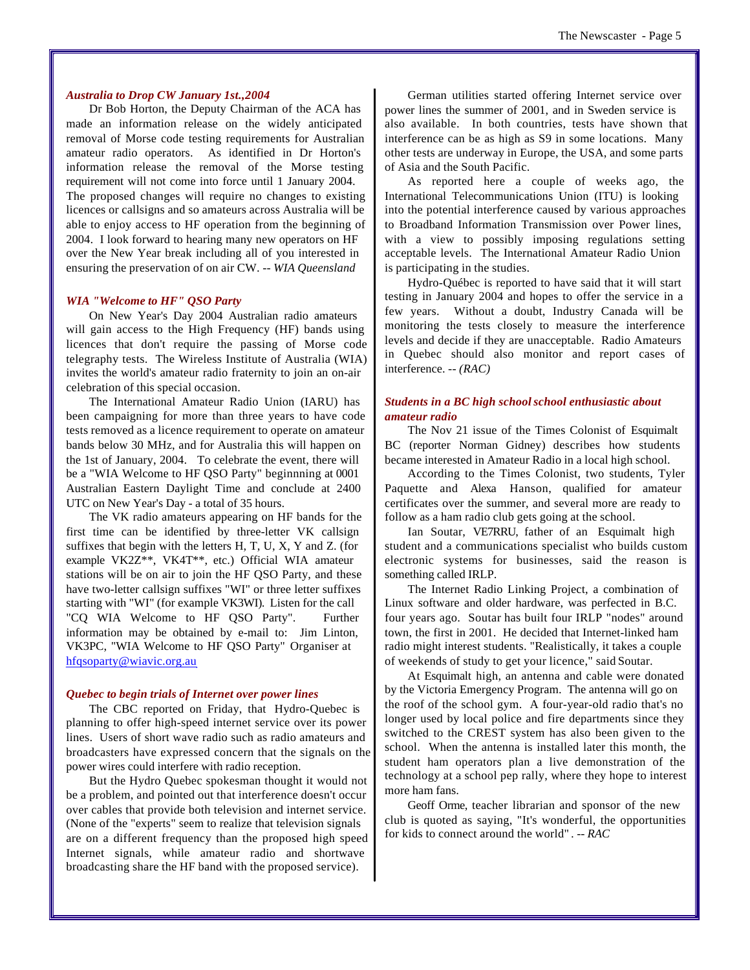#### *Australia to Drop CW January 1st.,2004*

Dr Bob Horton, the Deputy Chairman of the ACA has made an information release on the widely anticipated removal of Morse code testing requirements for Australian amateur radio operators. As identified in Dr Horton's information release the removal of the Morse testing requirement will not come into force until 1 January 2004. The proposed changes will require no changes to existing licences or callsigns and so amateurs across Australia will be able to enjoy access to HF operation from the beginning of 2004. I look forward to hearing many new operators on HF over the New Year break including all of you interested in ensuring the preservation of on air CW. *-- WIA Queensland*

#### *WIA "Welcome to HF" QSO Party*

On New Year's Day 2004 Australian radio amateurs will gain access to the High Frequency (HF) bands using licences that don't require the passing of Morse code telegraphy tests. The Wireless Institute of Australia (WIA) invites the world's amateur radio fraternity to join an on-air celebration of this special occasion.

The International Amateur Radio Union (IARU) has been campaigning for more than three years to have code tests removed as a licence requirement to operate on amateur bands below 30 MHz, and for Australia this will happen on the 1st of January, 2004. To celebrate the event, there will be a "WIA Welcome to HF QSO Party" beginnning at 0001 Australian Eastern Daylight Time and conclude at 2400 UTC on New Year's Day - a total of 35 hours.

The VK radio amateurs appearing on HF bands for the first time can be identified by three-letter VK callsign suffixes that begin with the letters H, T, U, X, Y and Z. (for example VK2Z\*\*, VK4T\*\*, etc.) Official WIA amateur stations will be on air to join the HF QSO Party, and these have two-letter callsign suffixes "WI" or three letter suffixes starting with "WI" (for example VK3WI). Listen for the call "CQ WIA Welcome to HF QSO Party". Further information may be obtained by e-mail to: Jim Linton, VK3PC, "WIA Welcome to HF QSO Party" Organiser at hfqsoparty@wiavic.org.au

#### *Quebec to begin trials of Internet over power lines*

The CBC reported on Friday, that Hydro-Quebec is planning to offer high-speed internet service over its power lines. Users of short wave radio such as radio amateurs and broadcasters have expressed concern that the signals on the power wires could interfere with radio reception.

But the Hydro Quebec spokesman thought it would not be a problem, and pointed out that interference doesn't occur over cables that provide both television and internet service. (None of the "experts" seem to realize that television signals are on a different frequency than the proposed high speed Internet signals, while amateur radio and shortwave broadcasting share the HF band with the proposed service).

German utilities started offering Internet service over power lines the summer of 2001, and in Sweden service is also available. In both countries, tests have shown that interference can be as high as S9 in some locations. Many other tests are underway in Europe, the USA, and some parts of Asia and the South Pacific.

As reported here a couple of weeks ago, the International Telecommunications Union (ITU) is looking into the potential interference caused by various approaches to Broadband Information Transmission over Power lines, with a view to possibly imposing regulations setting acceptable levels. The International Amateur Radio Union is participating in the studies.

Hydro-Québec is reported to have said that it will start testing in January 2004 and hopes to offer the service in a few years. Without a doubt, Industry Canada will be monitoring the tests closely to measure the interference levels and decide if they are unacceptable. Radio Amateurs in Quebec should also monitor and report cases of interference. *-- (RAC)*

#### *Students in a BC high school school enthusiastic about amateur radio*

The Nov 21 issue of the Times Colonist of Esquimalt BC (reporter Norman Gidney) describes how students became interested in Amateur Radio in a local high school.

According to the Times Colonist, two students, Tyler Paquette and Alexa Hanson, qualified for amateur certificates over the summer, and several more are ready to follow as a ham radio club gets going at the school.

Ian Soutar, VE7RRU, father of an Esquimalt high student and a communications specialist who builds custom electronic systems for businesses, said the reason is something called IRLP.

The Internet Radio Linking Project, a combination of Linux software and older hardware, was perfected in B.C. four years ago. Soutar has built four IRLP "nodes" around town, the first in 2001. He decided that Internet-linked ham radio might interest students. "Realistically, it takes a couple of weekends of study to get your licence," said Soutar.

At Esquimalt high, an antenna and cable were donated by the Victoria Emergency Program. The antenna will go on the roof of the school gym. A four-year-old radio that's no longer used by local police and fire departments since they switched to the CREST system has also been given to the school. When the antenna is installed later this month, the student ham operators plan a live demonstration of the technology at a school pep rally, where they hope to interest more ham fans.

Geoff Orme, teacher librarian and sponsor of the new club is quoted as saying, "It's wonderful, the opportunities for kids to connect around the world" *. -- RAC*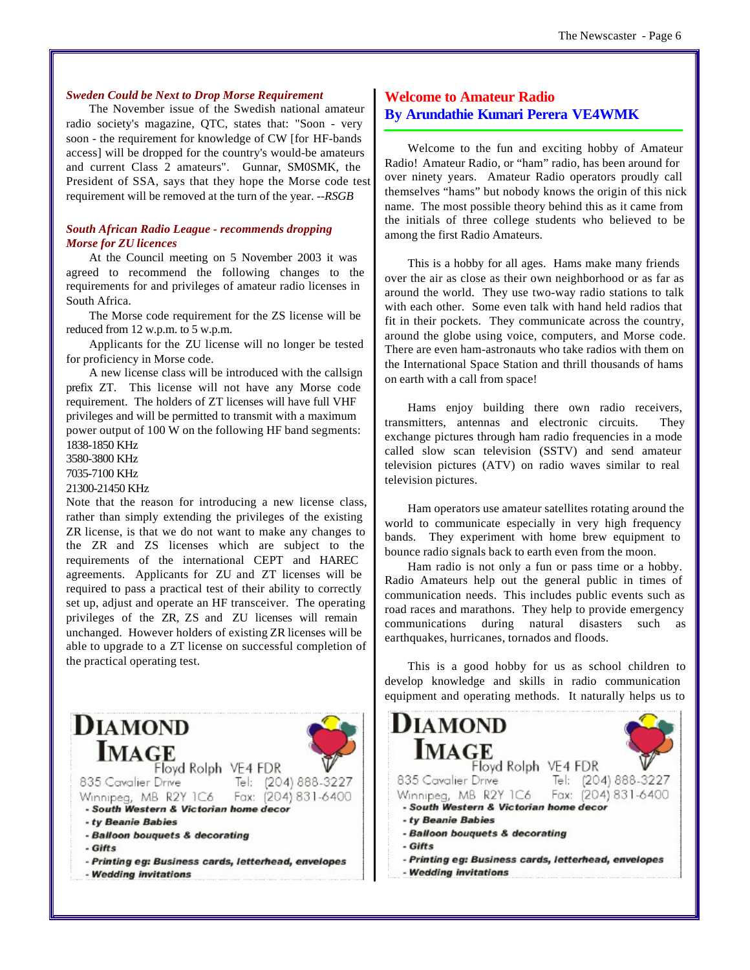#### *Sweden Could be Next to Drop Morse Requirement*

The November issue of the Swedish national amateur radio society's magazine, QTC, states that: "Soon - very soon - the requirement for knowledge of CW [for HF-bands access] will be dropped for the country's would-be amateurs and current Class 2 amateurs". Gunnar, SM0SMK, the President of SSA, says that they hope the Morse code test requirement will be removed at the turn of the year. *--RSGB*

#### *South African Radio League - recommends dropping Morse for ZU licences*

At the Council meeting on 5 November 2003 it was agreed to recommend the following changes to the requirements for and privileges of amateur radio licenses in South Africa.

The Morse code requirement for the ZS license will be reduced from 12 w.p.m. to 5 w.p.m.

Applicants for the ZU license will no longer be tested for proficiency in Morse code.

A new license class will be introduced with the callsign prefix ZT. This license will not have any Morse code requirement. The holders of ZT licenses will have full VHF privileges and will be permitted to transmit with a maximum power output of 100 W on the following HF band segments: 1838-1850 KHz

3580-3800 KHz

7035-7100 KHz

21300-21450 KHz

Note that the reason for introducing a new license class, rather than simply extending the privileges of the existing ZR license, is that we do not want to make any changes to the ZR and ZS licenses which are subject to the requirements of the international CEPT and HAREC agreements. Applicants for ZU and ZT licenses will be required to pass a practical test of their ability to correctly set up, adjust and operate an HF transceiver. The operating privileges of the ZR, ZS and ZU licenses will remain unchanged. However holders of existing ZR licenses will be able to upgrade to a ZT license on successful completion of the practical operating test.

#### **DIAMOND IMAGE** Floyd Rolph VE4 FDR 835 Cavalier Drive Tel: (204) 888-3227 Winnipeg, MB R2Y IC6 Fax: (204) 831-6400 - South Western & Victorian home decor - ty Beanie Babies - Balloon bouquets & decorating - Gifts - Printing eg: Business cards, letterhead, envelopes - Wedding invitations

### **Welcome to Amateur Radio By Arundathie Kumari Perera VE4WMK**

Welcome to the fun and exciting hobby of Amateur Radio! Amateur Radio, or "ham" radio, has been around for over ninety years. Amateur Radio operators proudly call themselves "hams" but nobody knows the origin of this nick name. The most possible theory behind this as it came from the initials of three college students who believed to be among the first Radio Amateurs.

This is a hobby for all ages. Hams make many friends over the air as close as their own neighborhood or as far as around the world. They use two-way radio stations to talk with each other. Some even talk with hand held radios that fit in their pockets. They communicate across the country, around the globe using voice, computers, and Morse code. There are even ham-astronauts who take radios with them on the International Space Station and thrill thousands of hams on earth with a call from space!

Hams enjoy building there own radio receivers, transmitters, antennas and electronic circuits. They exchange pictures through ham radio frequencies in a mode called slow scan television (SSTV) and send amateur television pictures (ATV) on radio waves similar to real television pictures.

Ham operators use amateur satellites rotating around the world to communicate especially in very high frequency bands. They experiment with home brew equipment to bounce radio signals back to earth even from the moon.

Ham radio is not only a fun or pass time or a hobby. Radio Amateurs help out the general public in times of communication needs. This includes public events such as road races and marathons. They help to provide emergency communications during natural disasters such as earthquakes, hurricanes, tornados and floods.

This is a good hobby for us as school children to develop knowledge and skills in radio communication equipment and operating methods. It naturally helps us to

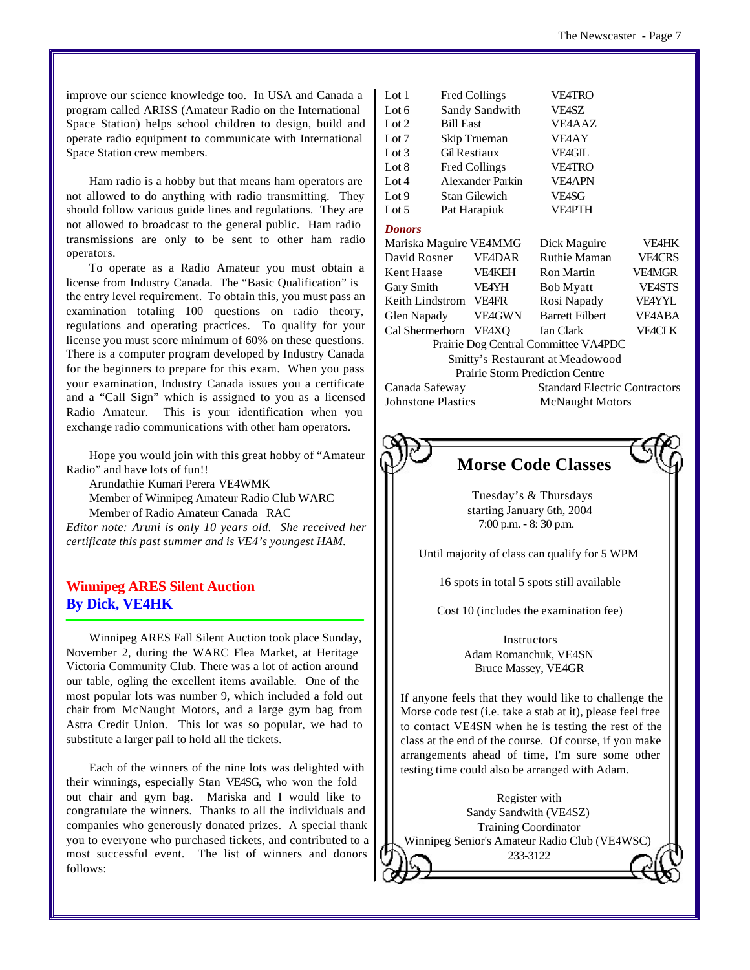improve our science knowledge too. In USA and Canada a program called ARISS (Amateur Radio on the International Space Station) helps school children to design, build and operate radio equipment to communicate with International Space Station crew members.

Ham radio is a hobby but that means ham operators are not allowed to do anything with radio transmitting. They should follow various guide lines and regulations. They are not allowed to broadcast to the general public. Ham radio transmissions are only to be sent to other ham radio operators.

To operate as a Radio Amateur you must obtain a license from Industry Canada. The "Basic Qualification" is the entry level requirement. To obtain this, you must pass an examination totaling 100 questions on radio theory, regulations and operating practices. To qualify for your license you must score minimum of 60% on these questions. There is a computer program developed by Industry Canada for the beginners to prepare for this exam. When you pass your examination, Industry Canada issues you a certificate and a "Call Sign" which is assigned to you as a licensed Radio Amateur. This is your identification when you exchange radio communications with other ham operators.

Hope you would join with this great hobby of "Amateur Radio" and have lots of fun!!

Arundathie Kumari Perera VE4WMK

Member of Winnipeg Amateur Radio Club WARC

Member of Radio Amateur Canada RAC

*Editor note: Aruni is only 10 years old. She received her certificate this past summer and is VE4's youngest HAM.*

# **Winnipeg ARES Silent Auction By Dick, VE4HK**

Winnipeg ARES Fall Silent Auction took place Sunday, November 2, during the WARC Flea Market, at Heritage Victoria Community Club. There was a lot of action around our table, ogling the excellent items available. One of the most popular lots was number 9, which included a fold out chair from McNaught Motors, and a large gym bag from Astra Credit Union. This lot was so popular, we had to substitute a larger pail to hold all the tickets.

Each of the winners of the nine lots was delighted with their winnings, especially Stan VE4SG, who won the fold out chair and gym bag. Mariska and I would like to congratulate the winners. Thanks to all the individuals and companies who generously donated prizes. A special thank you to everyone who purchased tickets, and contributed to a most successful event. The list of winners and donors follows:

| 1.A.H. 1.                                       | TTCU COMMES      |                                      | YL'HINU                |               |
|-------------------------------------------------|------------------|--------------------------------------|------------------------|---------------|
| Lot 6                                           | Sandy Sandwith   |                                      | <b>VE4SZ</b>           |               |
| Lot $2$                                         | <b>Bill East</b> |                                      | VE4AAZ                 |               |
| Lot 7                                           | Skip Trueman     |                                      | VE4AY                  |               |
| Lot $3$                                         |                  | <b>Gil Restiaux</b>                  | <b>VE4GIL</b>          |               |
| Lot 8                                           |                  | <b>Fred Collings</b>                 | <b>VE4TRO</b>          |               |
| Lot $4$                                         |                  | Alexander Parkin                     | <b>VE4APN</b>          |               |
| Lot 9                                           |                  | Stan Gilewich                        | <b>VEASG</b>           |               |
| Lot 5                                           | Pat Harapiuk     |                                      | <b>VE4PTH</b>          |               |
| <b>Donors</b>                                   |                  |                                      |                        |               |
| Mariska Maguire VE4MMG<br>Dick Maguire<br>VE4HK |                  |                                      |                        |               |
| David Rosner                                    |                  | <b>VE4DAR</b>                        | Ruthie Maman           | <b>VEACRS</b> |
| Kent Haase                                      |                  | <b>VE4KEH</b>                        | Ron Martin             | <b>VE4MGR</b> |
| Gary Smith                                      |                  | VE4YH                                | Bob Myatt              | <b>VE4STS</b> |
| Keith Lindstrom VE4FR                           |                  |                                      | Rosi Napady            | <b>VE4YYL</b> |
| Glen Napady                                     |                  | VE4GWN                               | <b>Barrett Filbert</b> | <b>VE4ABA</b> |
| Cal Shermerhorn                                 |                  | <b>VE4XO</b>                         | Ian Clark              | <b>VEACLK</b> |
| Prairie Dog Central Committee VA4PDC            |                  |                                      |                        |               |
| Smitty's Restaurant at Meadowood                |                  |                                      |                        |               |
| <b>Prairie Storm Prediction Centre</b>          |                  |                                      |                        |               |
| Canada Safeway                                  |                  | <b>Standard Electric Contractors</b> |                        |               |
| <b>Johnstone Plastics</b>                       |                  | <b>McNaught Motors</b>               |                        |               |
|                                                 |                  |                                      |                        |               |

 $E = 1 \times 10^{11}$  VE4TRO



**Morse Code Classes**

Tuesday's & Thursdays starting January 6th, 2004 7:00 p.m. - 8: 30 p.m.

Until majority of class can qualify for 5 WPM

16 spots in total 5 spots still available

Cost 10 (includes the examination fee)

Instructors Adam Romanchuk, VE4SN Bruce Massey, VE4GR

If anyone feels that they would like to challenge the Morse code test (i.e. take a stab at it), please feel free to contact VE4SN when he is testing the rest of the class at the end of the course. Of course, if you make arrangements ahead of time, I'm sure some other testing time could also be arranged with Adam.

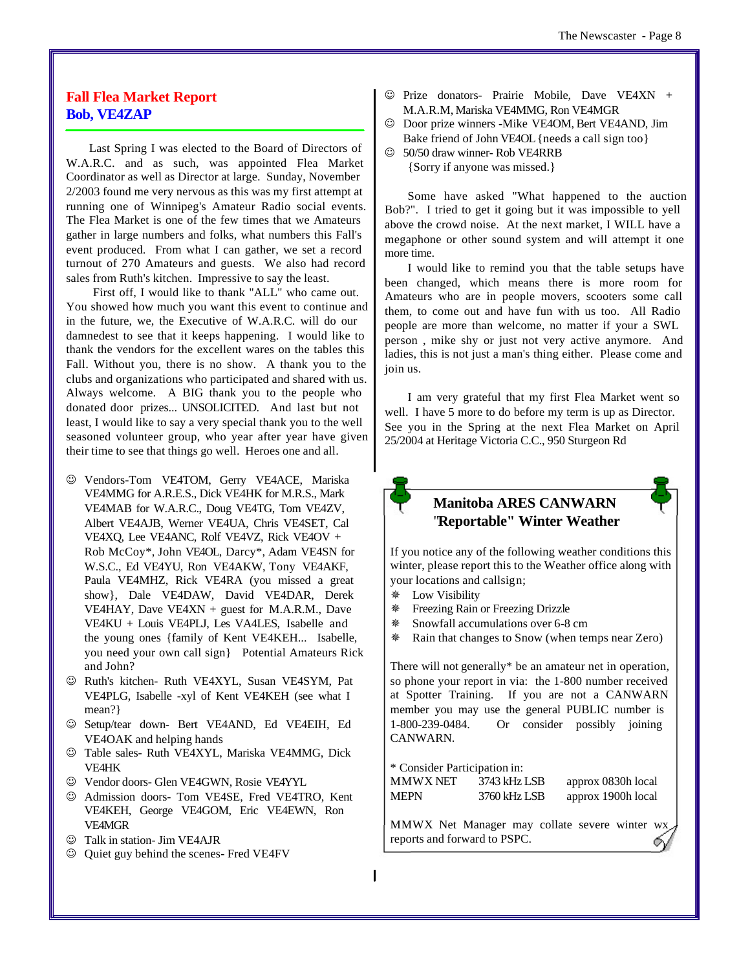# **Fall Flea Market Report Bob, VE4ZAP**

Last Spring I was elected to the Board of Directors of W.A.R.C. and as such, was appointed Flea Market Coordinator as well as Director at large. Sunday, November 2/2003 found me very nervous as this was my first attempt at running one of Winnipeg's Amateur Radio social events. The Flea Market is one of the few times that we Amateurs gather in large numbers and folks, what numbers this Fall's event produced. From what I can gather, we set a record turnout of 270 Amateurs and guests. We also had record sales from Ruth's kitchen. Impressive to say the least.

 First off, I would like to thank "ALL" who came out. You showed how much you want this event to continue and in the future, we, the Executive of W.A.R.C. will do our damnedest to see that it keeps happening. I would like to thank the vendors for the excellent wares on the tables this Fall. Without you, there is no show. A thank you to the clubs and organizations who participated and shared with us. Always welcome. A BIG thank you to the people who donated door prizes... UNSOLICITED. And last but not least, I would like to say a very special thank you to the well seasoned volunteer group, who year after year have given their time to see that things go well. Heroes one and all.

- $@$  Vendors-Tom VE4TOM, Gerry VE4ACE, Mariska VE4MMG for A.R.E.S., Dick VE4HK for M.R.S., Mark VE4MAB for W.A.R.C., Doug VE4TG, Tom VE4ZV, Albert VE4AJB, Werner VE4UA, Chris VE4SET, Cal VE4XQ, Lee VE4ANC, Rolf VE4VZ, Rick VE4OV + Rob McCoy\*, John VE4OL, Darcy\*, Adam VE4SN for W.S.C., Ed VE4YU, Ron VE4AKW, Tony VE4AKF, Paula VE4MHZ, Rick VE4RA (you missed a great show}, Dale VE4DAW, David VE4DAR, Derek VE4HAY, Dave VE4XN + guest for M.A.R.M., Dave VE4KU + Louis VE4PLJ, Les VA4LES, Isabelle and the young ones {family of Kent VE4KEH... Isabelle, you need your own call sign} Potential Amateurs Rick and John?
- $\odot$  Ruth's kitchen- Ruth VE4XYL, Susan VE4SYM, Pat VE4PLG, Isabelle -xyl of Kent VE4KEH (see what I mean?}
- J Setup/tear down- Bert VE4AND, Ed VE4EIH, Ed VE4OAK and helping hands
- $\odot$  Table sales- Ruth VE4XYL, Mariska VE4MMG, Dick VE4HK
- $\odot$  Vendor doors- Glen VE4GWN, Rosie VE4YYL
- $\odot$  Admission doors- Tom VE4SE, Fred VE4TRO, Kent VE4KEH, George VE4GOM, Eric VE4EWN, Ron VE4MGR
- $\circledcirc$  Talk in station- Jim VE4AJR
- $\odot$  Quiet guy behind the scenes- Fred VE4FV
- $\odot$  Prize donators- Prairie Mobile, Dave VE4XN + M.A.R.M, Mariska VE4MMG, Ron VE4MGR
- $\odot$  Door prize winners -Mike VE4OM, Bert VE4AND, Jim Bake friend of John VE4OL {needs a call sign too}
- $\circledcirc$  50/50 draw winner- Rob VE4RRB

{Sorry if anyone was missed.}

Some have asked "What happened to the auction Bob?". I tried to get it going but it was impossible to yell above the crowd noise. At the next market, I WILL have a megaphone or other sound system and will attempt it one more time.

I would like to remind you that the table setups have been changed, which means there is more room for Amateurs who are in people movers, scooters some call them, to come out and have fun with us too. All Radio people are more than welcome, no matter if your a SWL person , mike shy or just not very active anymore. And ladies, this is not just a man's thing either. Please come and join us.

I am very grateful that my first Flea Market went so well. I have 5 more to do before my term is up as Director. See you in the Spring at the next Flea Market on April 25/2004 at Heritage Victoria C.C., 950 Sturgeon Rd



# **Manitoba ARES CANWARN**  "**Reportable" Winter Weather**

If you notice any of the following weather conditions this winter, please report this to the Weather office along with your locations and callsign;

- Ø Low Visibility
- Ø Freezing Rain or Freezing Drizzle
- Ø Snowfall accumulations over 6-8 cm
- Ø Rain that changes to Snow (when temps near Zero)

There will not generally\* be an amateur net in operation, so phone your report in via: the 1-800 number received at Spotter Training. If you are not a CANWARN member you may use the general PUBLIC number is 1-800-239-0484. Or consider possibly joining CANWARN.

\* Consider Participation in:

| MMWX NET | 3743 kHz LSB | approx 0830h local |
|----------|--------------|--------------------|
| MEPN     | 3760 kHz LSB | approx 1900h local |

MMWX Net Manager may collate severe winter wx reports and forward to PSPC.◠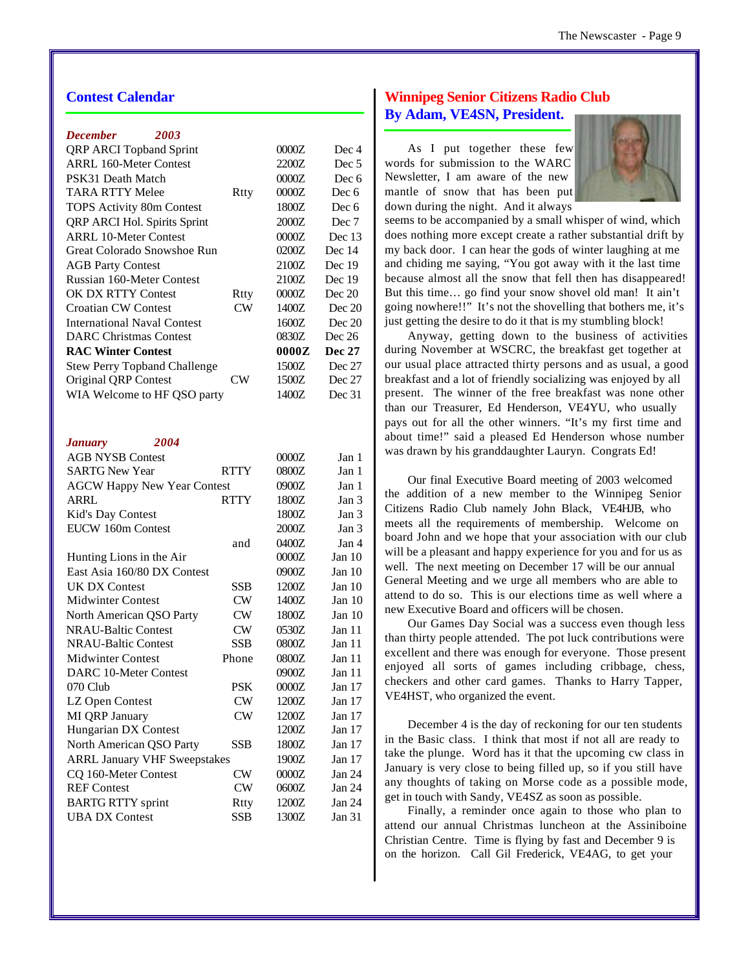# **Contest Calendar**

| December<br>2003                    |             |       |                  |
|-------------------------------------|-------------|-------|------------------|
| QRP ARCI Topband Sprint             |             | 0000Z | Dec 4            |
| <b>ARRL 160-Meter Contest</b>       |             | 2200Z | Dec <sub>5</sub> |
| PSK31 Death Match                   |             | 0000Z | Dec 6            |
| <b>TARA RTTY Melee</b>              | Rtty        | 0000Z | Dec 6            |
| <b>TOPS Activity 80m Contest</b>    |             | 1800Z | Dec 6            |
| QRP ARCI Hol. Spirits Sprint        |             | 2000Z | Dec 7            |
| <b>ARRL 10-Meter Contest</b>        |             | 0000Z | Dec 13           |
| Great Colorado Snowshoe Run         |             | 0200Z | Dec 14           |
| <b>AGB Party Contest</b>            |             | 2100Z | Dec 19           |
| Russian 160-Meter Contest           |             | 2100Z | Dec 19           |
| <b>OK DX RTTY Contest</b>           | Rtty        | 0000Z | Dec 20           |
| <b>Croatian CW Contest</b>          | CW          | 1400Z | Dec 20           |
| <b>International Naval Contest</b>  |             | 1600Z | Dec 20           |
| <b>DARC Christmas Contest</b>       |             | 0830Z | Dec 26           |
| <b>RAC Winter Contest</b>           |             | 0000Z | <b>Dec 27</b>    |
| <b>Stew Perry Topband Challenge</b> |             | 1500Z | Dec 27           |
| Original QRP Contest                | CW          | 1500Z | Dec 27           |
| WIA Welcome to HF QSO party         |             | 1400Z | Dec 31           |
|                                     |             |       |                  |
|                                     |             |       |                  |
| 2004<br><b>January</b>              |             |       |                  |
| <b>AGB NYSB Contest</b>             |             | 0000Z | Jan 1            |
| <b>SARTG New Year</b>               | <b>RTTY</b> | 0800Z | Jan 1            |
| <b>AGCW Happy New Year Contest</b>  |             | 0900Z | Jan 1            |
| <b>ARRL</b>                         | <b>RTTY</b> | 1800Z | Jan 3            |
| Kid's Day Contest                   |             | 1800Z | Jan 3            |
| EUCW 160m Contest                   |             |       | Jan 3            |
|                                     |             | 2000Z |                  |
|                                     | and         | 0400Z | Jan 4            |
| Hunting Lions in the Air            |             | 0000Z | Jan 10           |
| East Asia 160/80 DX Contest         |             | 0900Z | Jan $10$         |
| <b>UK DX Contest</b>                | <b>SSB</b>  | 1200Z | Jan $10$         |
| <b>Midwinter Contest</b>            | <b>CW</b>   | 1400Z | Jan $10$         |
| North American QSO Party            | CW          | 1800Z | Jan 10           |
| <b>NRAU-Baltic Contest</b>          | <b>CW</b>   | 0530Z | Jan 11           |
| NRAU-Baltic Contest                 | SSB         | 0800Z | Jan 11           |
| <b>Midwinter Contest</b>            | Phone       | 0800Z | Jan 11           |
| <b>DARC 10-Meter Contest</b>        |             | 0900Z | Jan 11           |
| 070 Club                            | PSK         | 0000Z | Jan 17           |
| LZ Open Contest                     | CW          | 1200Z | Jan 17           |
| MI QRP January                      | CW          | 1200Z | Jan 17           |
| Hungarian DX Contest                |             | 1200Z | Jan 17           |
| North American QSO Party            | SSB         | 1800Z | Jan 17           |
| <b>ARRL January VHF Sweepstakes</b> |             | 1900Z | Jan $17$         |
| CQ 160-Meter Contest                | CW          | 0000Z | Jan 24           |
| <b>REF</b> Contest                  | <b>CW</b>   | 0600Z | Jan 24           |
| <b>BARTG RTTY sprint</b>            | Rtty        | 1200Z | Jan 24           |
| <b>UBA DX Contest</b>               | <b>SSB</b>  | 1300Z | Jan 31           |

# **Winnipeg Senior Citizens Radio Club By Adam, VE4SN, President.**

As I put together these few words for submission to the WARC Newsletter, I am aware of the new mantle of snow that has been put down during the night. And it always



seems to be accompanied by a small whisper of wind, which does nothing more except create a rather substantial drift by my back door. I can hear the gods of winter laughing at me and chiding me saying, "You got away with it the last time because almost all the snow that fell then has disappeared! But this time… go find your snow shovel old man! It ain't going nowhere!!" It's not the shovelling that bothers me, it's just getting the desire to do it that is my stumbling block!

Anyway, getting down to the business of activities during November at WSCRC, the breakfast get together at our usual place attracted thirty persons and as usual, a good breakfast and a lot of friendly socializing was enjoyed by all present. The winner of the free breakfast was none other than our Treasurer, Ed Henderson, VE4YU, who usually pays out for all the other winners. "It's my first time and about time!" said a pleased Ed Henderson whose number was drawn by his granddaughter Lauryn. Congrats Ed!

Our final Executive Board meeting of 2003 welcomed the addition of a new member to the Winnipeg Senior Citizens Radio Club namely John Black, VE4HJB, who meets all the requirements of membership. Welcome on board John and we hope that your association with our club will be a pleasant and happy experience for you and for us as well. The next meeting on December 17 will be our annual General Meeting and we urge all members who are able to attend to do so. This is our elections time as well where a new Executive Board and officers will be chosen.

Our Games Day Social was a success even though less than thirty people attended. The pot luck contributions were excellent and there was enough for everyone. Those present enjoyed all sorts of games including cribbage, chess, checkers and other card games. Thanks to Harry Tapper, VE4HST, who organized the event.

December 4 is the day of reckoning for our ten students in the Basic class. I think that most if not all are ready to take the plunge. Word has it that the upcoming cw class in January is very close to being filled up, so if you still have any thoughts of taking on Morse code as a possible mode, get in touch with Sandy, VE4SZ as soon as possible.

Finally, a reminder once again to those who plan to attend our annual Christmas luncheon at the Assiniboine Christian Centre. Time is flying by fast and December 9 is on the horizon. Call Gil Frederick, VE4AG, to get your